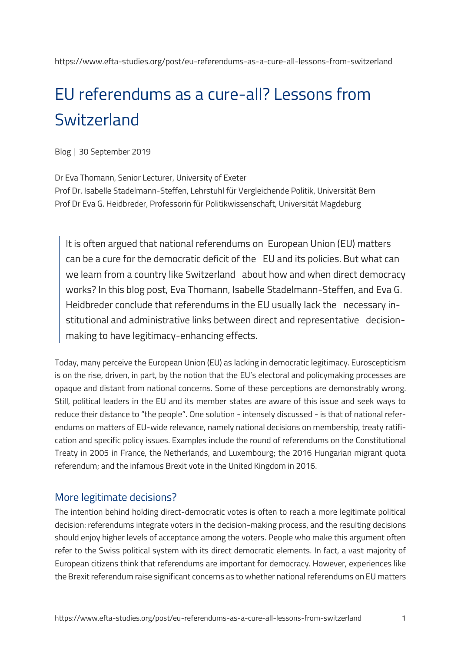# EU referendums as a cure-all? Lessons from **Switzerland**

Blog │ 30 September 2019

Dr Eva Thomann, Senior Lecturer, University of Exeter

Prof Dr. Isabelle Stadelmann-Steffen, Lehrstuhl für Vergleichende Politik, Universität Bern Prof Dr Eva G. Heidbreder, Professorin für Politikwissenschaft, Universität Magdeburg

It is often argued that national referendums on European Union (EU) matters can be a cure for the democratic deficit of the EU and its policies. But what can we learn from a country like Switzerland about how and when direct democracy works? In this blog post, Eva Thomann, Isabelle Stadelmann-Steffen, and Eva G. Heidbreder conclude that referendums in the EU usually lack the necessary institutional and administrative links between direct and representative decisionmaking to have legitimacy-enhancing effects.

Today, many perceive the European Union (EU) as lacking in democratic legitimacy. Euroscepticism is on the rise, driven, in part, by the notion that the EU's electoral and policymaking processes are opaque and distant from national concerns. Some of these perceptions are demonstrably wrong. Still, political leaders in the EU and its member states are aware of this issue and seek ways to reduce their distance to "the people". One solution - intensely discussed - is that of national referendums on matters of EU-wide relevance, namely national decisions on membership, treaty ratification and specific policy issues. Examples include the round of referendums on the Constitutional Treaty in 2005 in France, the Netherlands, and Luxembourg; the 2016 Hungarian migrant quota referendum; and the infamous Brexit vote in the United Kingdom in 2016.

## More legitimate decisions?

The intention behind holding direct-democratic votes is often to reach a more legitimate political decision: referendums integrate voters in the decision-making process, and the resulting decisions should enjoy higher levels of acceptance among the voters. People who make this argument often refer to the Swiss political system with its direct democratic elements. In fact, a vast majority of European citizens think that referendums are important for democracy. However, experiences like the Brexit referendum raise significant concerns as to whether national referendums on EU matters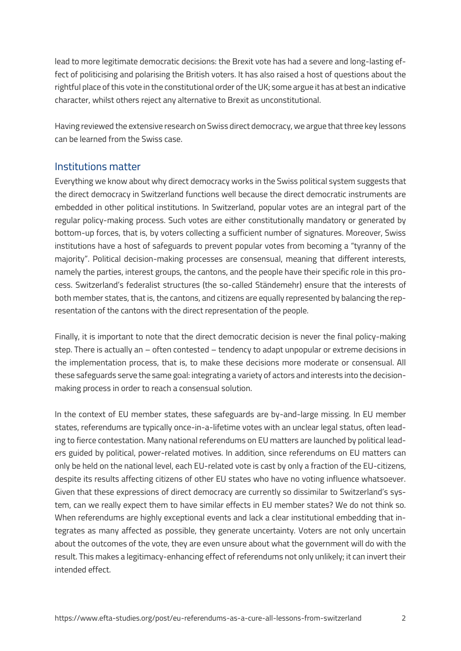lead to more legitimate democratic decisions: the Brexit vote has had a severe and long-lasting effect of politicising and polarising the British voters. It has also raised a host of questions about the rightful place of this vote in the constitutional order of the UK; some argue it has at best an indicative character, whilst others reject any alternative to Brexit as unconstitutional.

Having reviewed the extensive research on Swiss direct democracy, we argue that three key lessons can be learned from the Swiss case.

#### Institutions matter

Everything we know about why direct democracy works in the Swiss political system suggests that the direct democracy in Switzerland functions well because the direct democratic instruments are embedded in other political institutions. In Switzerland, popular votes are an integral part of the regular policy-making process. Such votes are either constitutionally mandatory or generated by bottom-up forces, that is, by voters collecting a sufficient number of signatures. Moreover, Swiss institutions have a host of safeguards to prevent popular votes from becoming a "tyranny of the majority". Political decision-making processes are consensual, meaning that different interests, namely the parties, interest groups, the cantons, and the people have their specific role in this process. Switzerland's federalist structures (the so-called Ständemehr) ensure that the interests of both member states, that is, the cantons, and citizens are equally represented by balancing the representation of the cantons with the direct representation of the people.

Finally, it is important to note that the direct democratic decision is never the final policy-making step. There is actually an – often contested – tendency to adapt unpopular or extreme decisions in the implementation process, that is, to make these decisions more moderate or consensual. All these safeguards serve the same goal: integrating a variety of actors and interests into the decisionmaking process in order to reach a consensual solution.

In the context of EU member states, these safeguards are by-and-large missing. In EU member states, referendums are typically once-in-a-lifetime votes with an unclear legal status, often leading to fierce contestation. Many national referendums on EU matters are launched by political leaders guided by political, power-related motives. In addition, since referendums on EU matters can only be held on the national level, each EU-related vote is cast by only a fraction of the EU-citizens, despite its results affecting citizens of other EU states who have no voting influence whatsoever. Given that these expressions of direct democracy are currently so dissimilar to Switzerland's system, can we really expect them to have similar effects in EU member states? We do not think so. When referendums are highly exceptional events and lack a clear institutional embedding that integrates as many affected as possible, they generate uncertainty. Voters are not only uncertain about the outcomes of the vote, they are even unsure about what the government will do with the result. This makes a legitimacy-enhancing effect of referendums not only unlikely; it can invert their intended effect.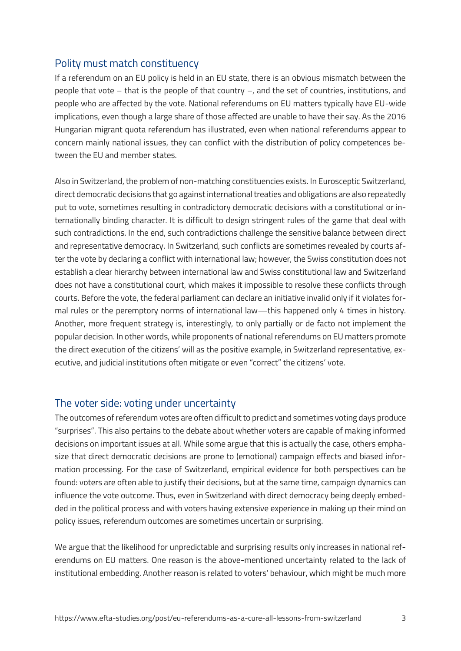## Polity must match constituency

If a referendum on an EU policy is held in an EU state, there is an obvious mismatch between the people that vote – that is the people of that country –, and the set of countries, institutions, and people who are affected by the vote. National referendums on EU matters typically have EU-wide implications, even though a large share of those affected are unable to have their say. As the 2016 Hungarian migrant quota referendum has illustrated, even when national referendums appear to concern mainly national issues, they can conflict with the distribution of policy competences between the EU and member states.

Also in Switzerland, the problem of non-matching constituencies exists. In Eurosceptic Switzerland, direct democratic decisions that go against international treaties and obligations are also repeatedly put to vote, sometimes resulting in contradictory democratic decisions with a constitutional or internationally binding character. It is difficult to design stringent rules of the game that deal with such contradictions. In the end, such contradictions challenge the sensitive balance between direct and representative democracy. In Switzerland, such conflicts are sometimes revealed by courts after the vote by declaring a conflict with international law; however, the Swiss constitution does not establish a clear hierarchy between international law and Swiss constitutional law and Switzerland does not have a constitutional court, which makes it impossible to resolve these conflicts through courts. Before the vote, the federal parliament can declare an initiative invalid only if it violates formal rules or the peremptory norms of international law—this happened only 4 times in history. Another, more frequent strategy is, interestingly, to only partially or de facto not implement the popular decision. In other words, while proponents of national referendums on EU matters promote the direct execution of the citizens' will as the positive example, in Switzerland representative, executive, and judicial institutions often mitigate or even "correct" the citizens' vote.

#### The voter side: voting under uncertainty

The outcomes of referendum votes are often difficult to predict and sometimes voting days produce "surprises". This also pertains to the debate about whether voters are capable of making informed decisions on important issues at all. While some argue that this is actually the case, others emphasize that direct democratic decisions are prone to (emotional) campaign effects and biased information processing. For the case of Switzerland, empirical evidence for both perspectives can be found: voters are often able to justify their decisions, but at the same time, campaign dynamics can influence the vote outcome. Thus, even in Switzerland with direct democracy being deeply embedded in the political process and with voters having extensive experience in making up their mind on policy issues, referendum outcomes are sometimes uncertain or surprising.

We argue that the likelihood for unpredictable and surprising results only increases in national referendums on EU matters. One reason is the above-mentioned uncertainty related to the lack of institutional embedding. Another reason is related to voters' behaviour, which might be much more